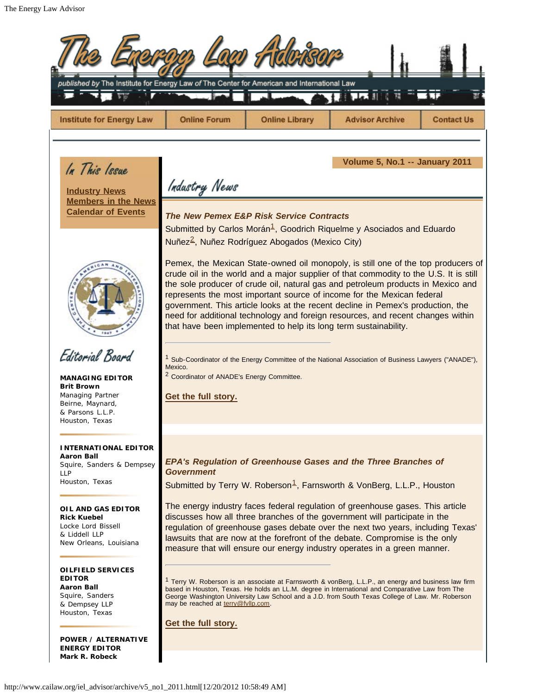<span id="page-0-2"></span><span id="page-0-1"></span><span id="page-0-0"></span>

| published by The Institute for Energy Law of The Center for American and International Law                                                   |                                                                                                                                                                                                                                                                                                                                                                                                                                                                                                                                                                                                         |                       |                                                                                                                                                       |                   |  |
|----------------------------------------------------------------------------------------------------------------------------------------------|---------------------------------------------------------------------------------------------------------------------------------------------------------------------------------------------------------------------------------------------------------------------------------------------------------------------------------------------------------------------------------------------------------------------------------------------------------------------------------------------------------------------------------------------------------------------------------------------------------|-----------------------|-------------------------------------------------------------------------------------------------------------------------------------------------------|-------------------|--|
| <b>Institute for Energy Law</b>                                                                                                              | <b>Online Forum</b>                                                                                                                                                                                                                                                                                                                                                                                                                                                                                                                                                                                     | <b>Online Library</b> | <b>Advisor Archive</b>                                                                                                                                | <b>Contact Us</b> |  |
| In This Issue<br><b>Industry News</b><br><b>Members in the News</b><br><b>Calendar of Events</b>                                             | Volume 5, No.1 -- January 2011<br>Industry News<br><b>The New Pemex E&amp;P Risk Service Contracts</b><br>Submitted by Carlos Morán <sup>1</sup> , Goodrich Riquelme y Asociados and Eduardo<br>Nuñez <sup>2</sup> , Nuñez Rodríguez Abogados (Mexico City)<br>Pemex, the Mexican State-owned oil monopoly, is still one of the top producers of<br>crude oil in the world and a major supplier of that commodity to the U.S. It is still<br>the sole producer of crude oil, natural gas and petroleum products in Mexico and<br>represents the most important source of income for the Mexican federal |                       |                                                                                                                                                       |                   |  |
| Editorial Board<br><b>MANAGING EDITOR</b><br><b>Brit Brown</b><br>Managing Partner<br>Beirne, Maynard,<br>& Parsons L.L.P.<br>Houston, Texas | government. This article looks at the recent decline in Pemex's production, the<br>need for additional technology and foreign resources, and recent changes within<br>that have been implemented to help its long term sustainability.<br><sup>1</sup> Sub-Coordinator of the Energy Committee of the National Association of Business Lawyers ("ANADE"),<br>Mexico.<br><sup>2</sup> Coordinator of ANADE's Energy Committee.<br>Get the full story.                                                                                                                                                    |                       |                                                                                                                                                       |                   |  |
| <b>INTERNATIONAL EDITOR</b><br><b>Aaron Ball</b><br>Squire, Sanders & Dempsey<br><b>LLP</b><br>Houston, Texas                                | <b>Government</b>                                                                                                                                                                                                                                                                                                                                                                                                                                                                                                                                                                                       |                       | EPA's Regulation of Greenhouse Gases and the Three Branches of<br>Submitted by Terry W. Roberson <sup>1</sup> , Farnsworth & VonBerg, L.L.P., Houston |                   |  |
| OIL AND GAS EDITOR<br><b>Rick Kuebel</b><br>Locke Lord Bissell<br>& Liddell LLP<br>New Orleans, Louisiana                                    | The energy industry faces federal regulation of greenhouse gases. This article<br>discusses how all three branches of the government will participate in the<br>regulation of greenhouse gases debate over the next two years, including Texas'<br>lawsuits that are now at the forefront of the debate. Compromise is the only<br>measure that will ensure our energy industry operates in a green manner.                                                                                                                                                                                             |                       |                                                                                                                                                       |                   |  |
| OILFIELD SERVICES<br><b>EDITOR</b><br><b>Aaron Ball</b><br>Squire, Sanders<br>& Dempsey LLP<br>Houston, Texas                                | <sup>1</sup> Terry W. Roberson is an associate at Farnsworth & vonBerg, L.L.P., an energy and business law firm<br>based in Houston, Texas. He holds an LL.M. degree in International and Comparative Law from The<br>George Washington University Law School and a J.D. from South Texas College of Law. Mr. Roberson<br>may be reached at terry@fvllp.com.<br>Get the full story.                                                                                                                                                                                                                     |                       |                                                                                                                                                       |                   |  |
| <b>POWER / ALTERNATIVE</b><br><b>ENERGY EDITOR</b><br>Mark R. Robeck                                                                         |                                                                                                                                                                                                                                                                                                                                                                                                                                                                                                                                                                                                         |                       |                                                                                                                                                       |                   |  |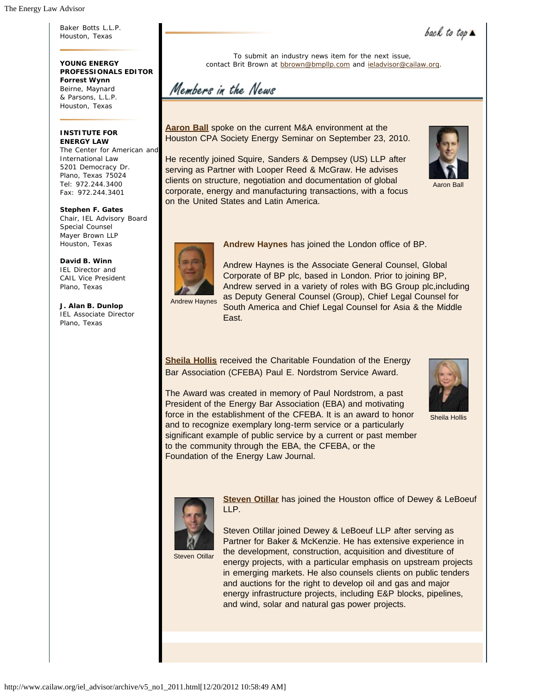Baker Botts L.L.P. Houston, Texas

**YOUNG ENERGY PROFESSIONALS EDITOR Forrest Wynn** Beirne, Maynard & Parsons, L.L.P. Houston, Texas

#### **INSTITUTE FOR ENERGY LAW**

The Center for American and International Law 5201 Democracy Dr. Plano, Texas 75024 Tel: 972.244.3400 Fax: 972.244.3401

**Stephen F. Gates** Chair, IEL Advisory Board Special Counsel Mayer Brown LLP Houston, Texas

**David B. Winn** IEL Director and CAIL Vice President Plano, Texas

**J. Alan B. Dunlop** IEL Associate Director Plano, Texas

To submit an industry news item for the next issue, contact Brit Brown at bbrown@bmpllp.com and ieladvisor@cailaw.org.

Members in the News

**Aaron Ball** spoke on the current M&A environment at the Houston CPA Society Energy Seminar on September 23, 2010.

He recently joined Squire, Sanders & Dempsey (US) LLP after serving as Partner with Looper Reed & McGraw. He advises clients on structure, negotiation and documentation of global corporate, energy and manufacturing transactions, with a focus on the United States and Latin America.



back to top

Aaron Ball



**Andrew Haynes** has joined the London office of BP.



Andrew Haynes is the Associate General Counsel, Global Corporate of BP plc, based in London. Prior to joining BP, Andrew served in a variety of roles with BG Group plc,including as Deputy General Counsel (Group), Chief Legal Counsel for South America and Chief Legal Counsel for Asia & the Middle East.

**Sheila Hollis** received the Charitable Foundation of the Energy Bar Association (CFEBA) Paul E. Nordstrom Service Award.



Sheila Hollis

The Award was created in memory of Paul Nordstrom, a past President of the Energy Bar Association (EBA) and motivating force in the establishment of the CFEBA. It is an award to honor and to recognize exemplary long-term service or a particularly significant example of public service by a current or past member to the community through the EBA, the CFEBA, or the Foundation of the Energy Law Journal.



**Steven Otillar** has joined the Houston office of Dewey & LeBoeuf LLP.

Steven Otillar

Steven Otillar joined Dewey & LeBoeuf LLP after serving as Partner for Baker & McKenzie. He has extensive experience in the development, construction, acquisition and divestiture of energy projects, with a particular emphasis on upstream projects in emerging markets. He also counsels clients on public tenders and auctions for the right to develop oil and gas and major energy infrastructure projects, including E&P blocks, pipelines, and wind, solar and natural gas power projects.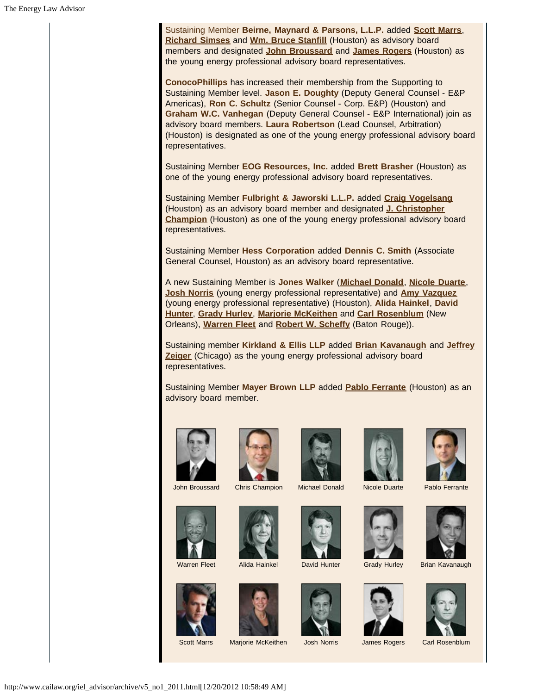Sustaining Member **Beirne, Maynard & Parsons, L.L.P.** added **Scott Marrs**, **Richard Simses** and **Wm. Bruce Stanfill** (Houston) as advisory board members and designated **John Broussard** and **James Rogers** (Houston) as the young energy professional advisory board representatives.

**ConocoPhillips** has increased their membership from the Supporting to Sustaining Member level. **Jason E. Doughty** (Deputy General Counsel - E&P Americas), **Ron C. Schultz** (Senior Counsel - Corp. E&P) (Houston) and **Graham W.C. Vanhegan** (Deputy General Counsel - E&P International) join as advisory board members. **Laura Robertson** (Lead Counsel, Arbitration) (Houston) is designated as one of the young energy professional advisory board representatives.

Sustaining Member **EOG Resources, Inc.** added **Brett Brasher** (Houston) as one of the young energy professional advisory board representatives.

Sustaining Member **Fulbright & Jaworski L.L.P.** added **Craig Vogelsang** (Houston) as an advisory board member and designated **J. Christopher Champion** (Houston) as one of the young energy professional advisory board representatives.

Sustaining Member **Hess Corporation** added **Dennis C. Smith** (Associate General Counsel, Houston) as an advisory board representative.

A new Sustaining Member is **Jones Walker** (**Michael Donald**, **Nicole Duarte**, **Josh Norris** (young energy professional representative) and **Amy Vazquez** (young energy professional representative) (Houston), **Alida Hainkel**, **David Hunter**, **Grady Hurley**, **Marjorie McKeithen** and **Carl Rosenblum** (New Orleans), **Warren Fleet** and **Robert W. Scheffy** (Baton Rouge)).

Sustaining member **Kirkland & Ellis LLP** added **Brian Kavanaugh** and **Jeffrey Zeiger** (Chicago) as the young energy professional advisory board representatives.

Sustaining Member **Mayer Brown LLP** added **Pablo Ferrante** (Houston) as an advisory board member.







John Broussard Chris Champion Michael Donald Nicole Duarte Pablo Ferrante









Warren Fleet Alida Hainkel David Hunter Grady Hurley Brian Kavanaugh





















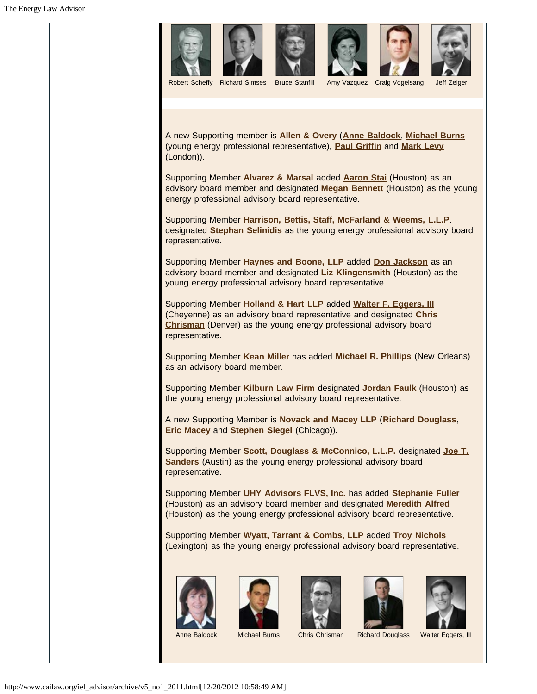

A new Supporting member is **Allen & Overy** (**Anne Baldock**, **Michael Burns** (young energy professional representative), **Paul Griffin** and **Mark Levy** (London)).

Supporting Member **Alvarez & Marsal** added **Aaron Stai** (Houston) as an advisory board member and designated **Megan Bennett** (Houston) as the young energy professional advisory board representative.

Supporting Member **Harrison, Bettis, Staff, McFarland & Weems, L.L.P**. designated **Stephan Selinidis** as the young energy professional advisory board representative.

Supporting Member **Haynes and Boone, LLP** added **Don Jackson** as an advisory board member and designated **Liz Klingensmith** (Houston) as the young energy professional advisory board representative.

Supporting Member **Holland & Hart LLP** added **Walter F. Eggers, III** (Cheyenne) as an advisory board representative and designated **Chris Chrisman** (Denver) as the young energy professional advisory board representative.

Supporting Member **Kean Miller** has added **Michael R. Phillips** (New Orleans) as an advisory board member.

Supporting Member **Kilburn Law Firm** designated **Jordan Faulk** (Houston) as the young energy professional advisory board representative.

A new Supporting Member is **Novack and Macey LLP** (**Richard Douglass**, **Eric Macey** and **Stephen Siegel** (Chicago)).

Supporting Member **Scott, Douglass & McConnico, L.L.P.** designated **Joe T. Sanders** (Austin) as the young energy professional advisory board representative.

Supporting Member **UHY Advisors FLVS, Inc.** has added **Stephanie Fuller** (Houston) as an advisory board member and designated **Meredith Alfred** (Houston) as the young energy professional advisory board representative.

Supporting Member **Wyatt, Tarrant & Combs, LLP** added **[Troy Nichols](http://www.wyattfirm.com/attorneys.php?attorney=303)** (Lexington) as the young energy professional advisory board representative.











Anne Baldock Michael Burns Chris Chrisman Richard Douglass Walter Eggers, III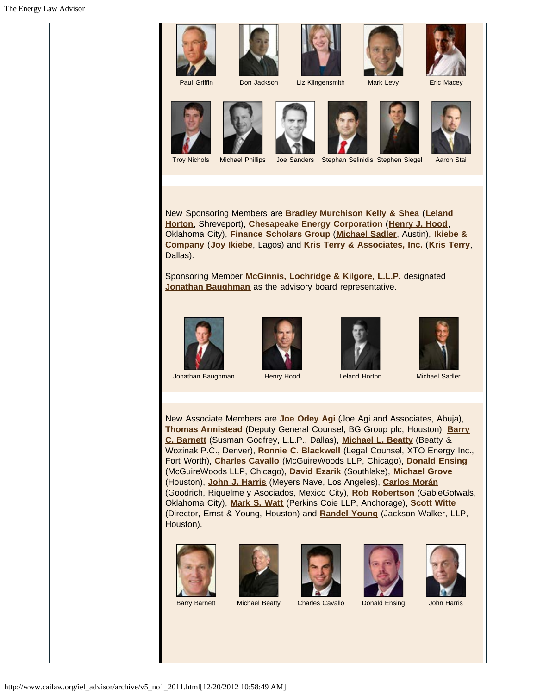









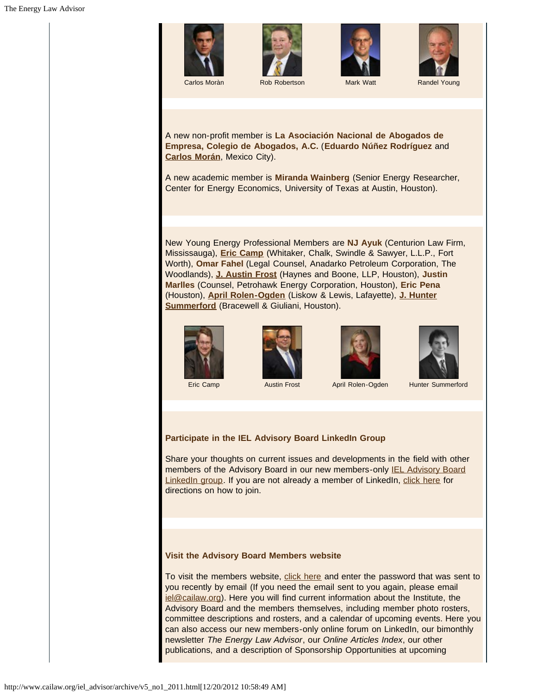







A new non-profit member is **La Asociación Nacional de Abogados de Empresa, Colegio de Abogados, A.C.** (**Eduardo Núñez Rodríguez** and **Carlos Morán**, Mexico City).

A new academic member is **Miranda Wainberg** (Senior Energy Researcher, Center for Energy Economics, University of Texas at Austin, Houston).

New Young Energy Professional Members are **NJ Ayuk** (Centurion Law Firm, Mississauga), **Eric Camp** (Whitaker, Chalk, Swindle & Sawyer, L.L.P., Fort Worth), **Omar Fahel** (Legal Counsel, Anadarko Petroleum Corporation, The Woodlands), **J. Austin Frost** (Haynes and Boone, LLP, Houston), **Justin Marlles** (Counsel, Petrohawk Energy Corporation, Houston), **Eric Pena** (Houston), **April Rolen-Ogden** (Liskow & Lewis, Lafayette), **J. Hunter Summerford** (Bracewell & Giuliani, Houston).











## **Participate in the IEL Advisory Board LinkedIn Group**

Share your thoughts on current issues and developments in the field with other members of the Advisory Board in our new members-only IEL Advisory Board LinkedIn group. If you are not already a member of LinkedIn, click here for directions on how to join.

### **Visit the Advisory Board Members website**

To visit the members website, click here and enter the password that was sent to you recently by email (If you need the email sent to you again, please email iel@cailaw.org). Here you will find current information about the Institute, the Advisory Board and the members themselves, including member photo rosters, committee descriptions and rosters, and a calendar of upcoming events. Here you can also access our new members-only online forum on LinkedIn, our bimonthly newsletter *The Energy Law Advisor*, our *Online Articles Index*, our other publications, and a description of Sponsorship Opportunities at upcoming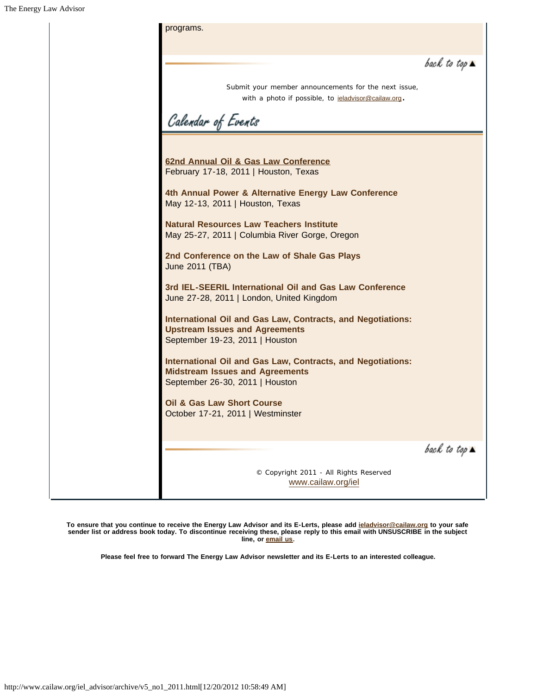

**To ensure that you continue to receive the Energy Law Advisor and its E-Lerts, please add ieladvisor@cailaw.org to your safe sender list or address book today. To discontinue receiving these, please reply to this email with UNSUSCRIBE in the subject line, or email us.**

**Please feel free to forward The Energy Law Advisor newsletter and its E-Lerts to an interested colleague.**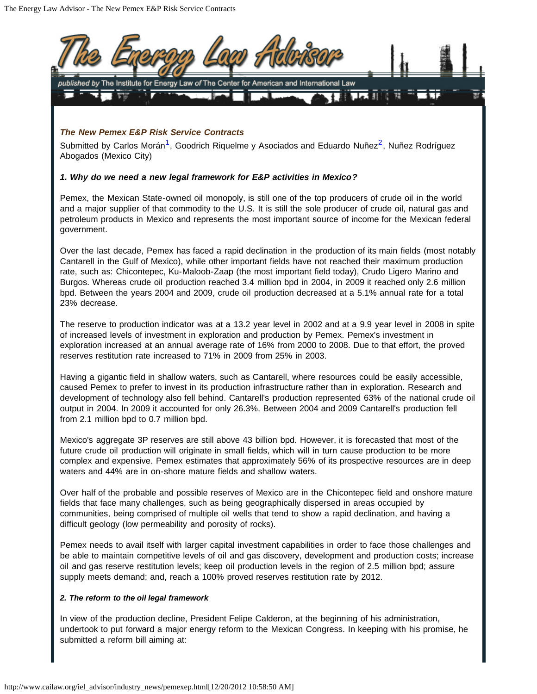

fields that face many challenges, such as being geographically dispersed in areas occupied by communities, being comprised of multiple oil wells that tend to show a rapid declination, and having a difficult geology (low permeability and porosity of rocks).

Pemex needs to avail itself with larger capital investment capabilities in order to face those challenges and be able to maintain competitive levels of oil and gas discovery, development and production costs; increase oil and gas reserve restitution levels; keep oil production levels in the region of 2.5 million bpd; assure supply meets demand; and, reach a 100% proved reserves restitution rate by 2012.

### *2. The reform to the oil legal framework*

In view of the production decline, President Felipe Calderon, at the beginning of his administration, undertook to put forward a major energy reform to the Mexican Congress. In keeping with his promise, he submitted a reform bill aiming at: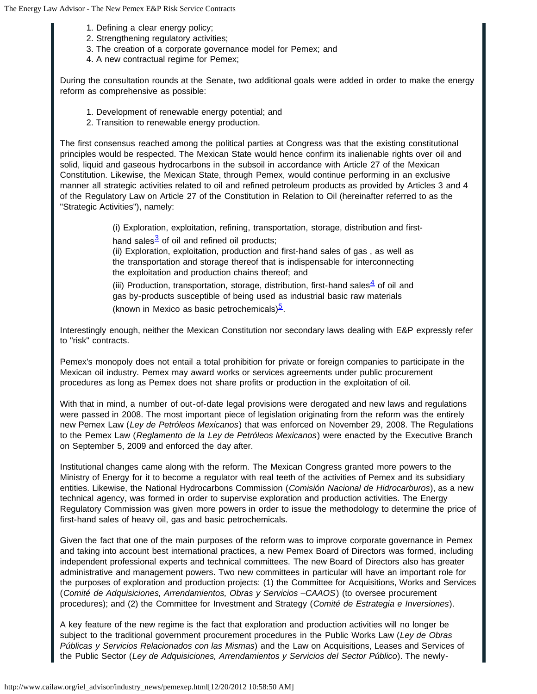- 1. Defining a clear energy policy;
- 2. Strengthening regulatory activities;
- 3. The creation of a corporate governance model for Pemex; and
- 4. A new contractual regime for Pemex;

During the consultation rounds at the Senate, two additional goals were added in order to make the energy reform as comprehensive as possible:

- 1. Development of renewable energy potential; and
- 2. Transition to renewable energy production.

The first consensus reached among the political parties at Congress was that the existing constitutional principles would be respected. The Mexican State would hence confirm its inalienable rights over oil and solid, liquid and gaseous hydrocarbons in the subsoil in accordance with Article 27 of the Mexican Constitution. Likewise, the Mexican State, through Pemex, would continue performing in an exclusive manner all strategic activities related to oil and refined petroleum products as provided by Articles 3 and 4 of the Regulatory Law on Article 27 of the Constitution in Relation to Oil (hereinafter referred to as the "Strategic Activities"), namely:

(i) Exploration, exploitation, refining, transportation, storage, distribution and first-

hand sales $\frac{3}{2}$  of oil and refined oil products;

(ii) Exploration, exploitation, production and first-hand sales of gas , as well as the transportation and storage thereof that is indispensable for interconnecting the exploitation and production chains thereof; and

(iii) Production, transportation, storage, distribution, first-hand sales  $4$  of oil and gas by-products susceptible of being used as industrial basic raw materials (known in Mexico as basic petrochemicals) $\frac{5}{2}$ .

Interestingly enough, neither the Mexican Constitution nor secondary laws dealing with E&P expressly refer to "risk" contracts.

Pemex's monopoly does not entail a total prohibition for private or foreign companies to participate in the Mexican oil industry. Pemex may award works or services agreements under public procurement procedures as long as Pemex does not share profits or production in the exploitation of oil.

With that in mind, a number of out-of-date legal provisions were derogated and new laws and regulations were passed in 2008. The most important piece of legislation originating from the reform was the entirely new Pemex Law (*Ley de Petróleos Mexicanos*) that was enforced on November 29, 2008. The Regulations to the Pemex Law (*Reglamento de la Ley de Petróleos Mexicanos*) were enacted by the Executive Branch on September 5, 2009 and enforced the day after.

Institutional changes came along with the reform. The Mexican Congress granted more powers to the Ministry of Energy for it to become a regulator with real teeth of the activities of Pemex and its subsidiary entities. Likewise, the National Hydrocarbons Commission (*Comisión Nacional de Hidrocarburos*), as a new technical agency, was formed in order to supervise exploration and production activities. The Energy Regulatory Commission was given more powers in order to issue the methodology to determine the price of first-hand sales of heavy oil, gas and basic petrochemicals.

Given the fact that one of the main purposes of the reform was to improve corporate governance in Pemex and taking into account best international practices, a new Pemex Board of Directors was formed, including independent professional experts and technical committees. The new Board of Directors also has greater administrative and management powers. Two new committees in particular will have an important role for the purposes of exploration and production projects: (1) the Committee for Acquisitions, Works and Services (*Comité de Adquisiciones, Arrendamientos, Obras y Servicios –CAAOS*) (to oversee procurement procedures); and (2) the Committee for Investment and Strategy (*Comité de Estrategia e Inversiones*).

A key feature of the new regime is the fact that exploration and production activities will no longer be subject to the traditional government procurement procedures in the Public Works Law (*Ley de Obras Públicas y Servicios Relacionados con las Mismas*) and the Law on Acquisitions, Leases and Services of the Public Sector (*Ley de Adquisiciones, Arrendamientos y Servicios del Sector Público*). The newly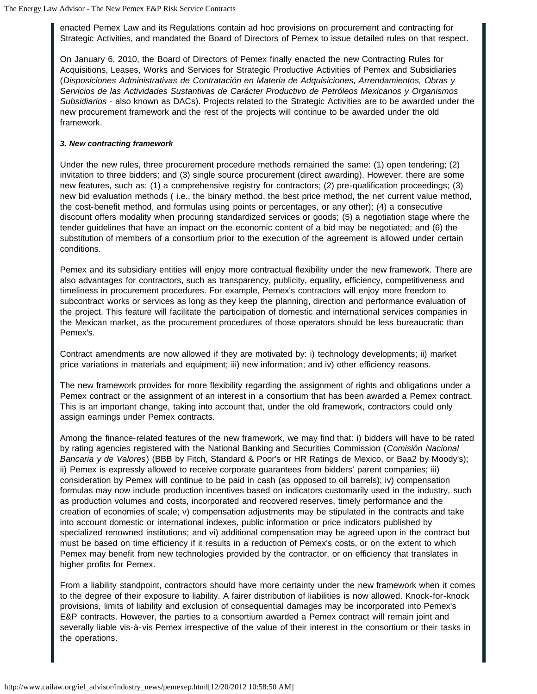enacted Pemex Law and its Regulations contain ad hoc provisions on procurement and contracting for Strategic Activities, and mandated the Board of Directors of Pemex to issue detailed rules on that respect.

On January 6, 2010, the Board of Directors of Pemex finally enacted the new Contracting Rules for Acquisitions, Leases, Works and Services for Strategic Productive Activities of Pemex and Subsidiaries (*Disposiciones Administrativas de Contratación en Materia de Adquisiciones, Arrendamientos, Obras y Servicios de las Actividades Sustantivas de Carácter Productivo de Petróleos Mexicanos y Organismos Subsidiarios* - also known as DACs). Projects related to the Strategic Activities are to be awarded under the new procurement framework and the rest of the projects will continue to be awarded under the old framework.

### *3. New contracting framework*

Under the new rules, three procurement procedure methods remained the same: (1) open tendering; (2) invitation to three bidders; and (3) single source procurement (direct awarding). However, there are some new features, such as: (1) a comprehensive registry for contractors; (2) pre-qualification proceedings; (3) new bid evaluation methods ( i.e., the binary method, the best price method, the net current value method, the cost-benefit method, and formulas using points or percentages, or any other); (4) a consecutive discount offers modality when procuring standardized services or goods; (5) a negotiation stage where the tender guidelines that have an impact on the economic content of a bid may be negotiated; and (6) the substitution of members of a consortium prior to the execution of the agreement is allowed under certain conditions.

Pemex and its subsidiary entities will enjoy more contractual flexibility under the new framework. There are also advantages for contractors, such as transparency, publicity, equality, efficiency, competitiveness and timeliness in procurement procedures. For example, Pemex's contractors will enjoy more freedom to subcontract works or services as long as they keep the planning, direction and performance evaluation of the project. This feature will facilitate the participation of domestic and international services companies in the Mexican market, as the procurement procedures of those operators should be less bureaucratic than Pemex's.

Contract amendments are now allowed if they are motivated by: i) technology developments; ii) market price variations in materials and equipment; iii) new information; and iv) other efficiency reasons.

The new framework provides for more flexibility regarding the assignment of rights and obligations under a Pemex contract or the assignment of an interest in a consortium that has been awarded a Pemex contract. This is an important change, taking into account that, under the old framework, contractors could only assign earnings under Pemex contracts.

Among the finance-related features of the new framework, we may find that: i) bidders will have to be rated by rating agencies registered with the National Banking and Securities Commission (*Comisión Nacional Bancaria y de Valores*) (BBB by Fitch, Standard & Poor's or HR Ratings de Mexico, or Baa2 by Moody's); ii) Pemex is expressly allowed to receive corporate guarantees from bidders' parent companies; iii) consideration by Pemex will continue to be paid in cash (as opposed to oil barrels); iv) compensation formulas may now include production incentives based on indicators customarily used in the industry, such as production volumes and costs, incorporated and recovered reserves, timely performance and the creation of economies of scale; v) compensation adjustments may be stipulated in the contracts and take into account domestic or international indexes, public information or price indicators published by specialized renowned institutions; and vi) additional compensation may be agreed upon in the contract but must be based on time efficiency if it results in a reduction of Pemex's costs, or on the extent to which Pemex may benefit from new technologies provided by the contractor, or on efficiency that translates in higher profits for Pemex.

From a liability standpoint, contractors should have more certainty under the new framework when it comes to the degree of their exposure to liability. A fairer distribution of liabilities is now allowed. Knock-for-knock provisions, limits of liability and exclusion of consequential damages may be incorporated into Pemex's E&P contracts. However, the parties to a consortium awarded a Pemex contract will remain joint and severally liable vis-à-vis Pemex irrespective of the value of their interest in the consortium or their tasks in the operations.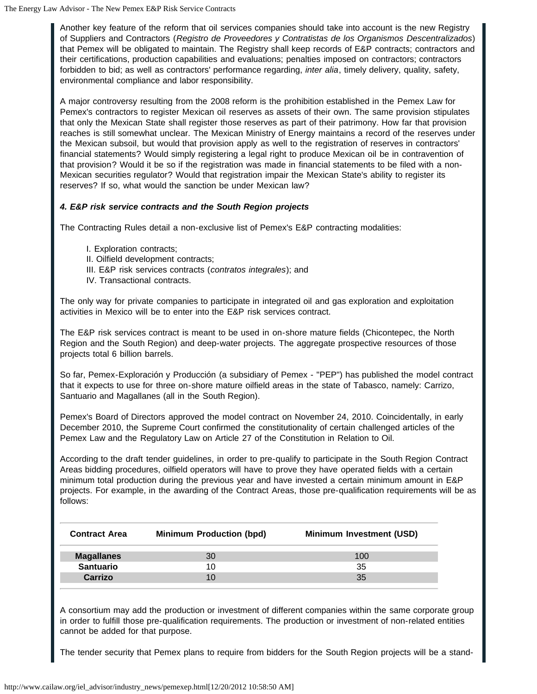Another key feature of the reform that oil services companies should take into account is the new Registry of Suppliers and Contractors (*Registro de Proveedores y Contratistas de los Organismos Descentralizados*) that Pemex will be obligated to maintain. The Registry shall keep records of E&P contracts; contractors and their certifications, production capabilities and evaluations; penalties imposed on contractors; contractors forbidden to bid; as well as contractors' performance regarding, *inter alia*, timely delivery, quality, safety, environmental compliance and labor responsibility.

A major controversy resulting from the 2008 reform is the prohibition established in the Pemex Law for Pemex's contractors to register Mexican oil reserves as assets of their own. The same provision stipulates that only the Mexican State shall register those reserves as part of their patrimony. How far that provision reaches is still somewhat unclear. The Mexican Ministry of Energy maintains a record of the reserves under the Mexican subsoil, but would that provision apply as well to the registration of reserves in contractors' financial statements? Would simply registering a legal right to produce Mexican oil be in contravention of that provision? Would it be so if the registration was made in financial statements to be filed with a non-Mexican securities regulator? Would that registration impair the Mexican State's ability to register its reserves? If so, what would the sanction be under Mexican law?

## *4. E&P risk service contracts and the South Region projects*

The Contracting Rules detail a non-exclusive list of Pemex's E&P contracting modalities:

- I. Exploration contracts;
- II. Oilfield development contracts;
- III. E&P risk services contracts (*contratos integrales*); and
- IV. Transactional contracts.

The only way for private companies to participate in integrated oil and gas exploration and exploitation activities in Mexico will be to enter into the E&P risk services contract.

The E&P risk services contract is meant to be used in on-shore mature fields (Chicontepec, the North Region and the South Region) and deep-water projects. The aggregate prospective resources of those projects total 6 billion barrels.

So far, Pemex-Exploración y Producción (a subsidiary of Pemex - "PEP") has published the model contract that it expects to use for three on-shore mature oilfield areas in the state of Tabasco, namely: Carrizo, Santuario and Magallanes (all in the South Region).

Pemex's Board of Directors approved the model contract on November 24, 2010. Coincidentally, in early December 2010, the Supreme Court confirmed the constitutionality of certain challenged articles of the Pemex Law and the Regulatory Law on Article 27 of the Constitution in Relation to Oil.

According to the draft tender guidelines, in order to pre-qualify to participate in the South Region Contract Areas bidding procedures, oilfield operators will have to prove they have operated fields with a certain minimum total production during the previous year and have invested a certain minimum amount in E&P projects. For example, in the awarding of the Contract Areas, those pre-qualification requirements will be as follows:

| <b>Minimum Production (bpd)</b> | <b>Minimum Investment (USD)</b> |  |
|---------------------------------|---------------------------------|--|
| 30                              | 100                             |  |
| 1 በ                             | 35                              |  |
|                                 | 35                              |  |
|                                 |                                 |  |

A consortium may add the production or investment of different companies within the same corporate group in order to fulfill those pre-qualification requirements. The production or investment of non-related entities cannot be added for that purpose.

The tender security that Pemex plans to require from bidders for the South Region projects will be a stand-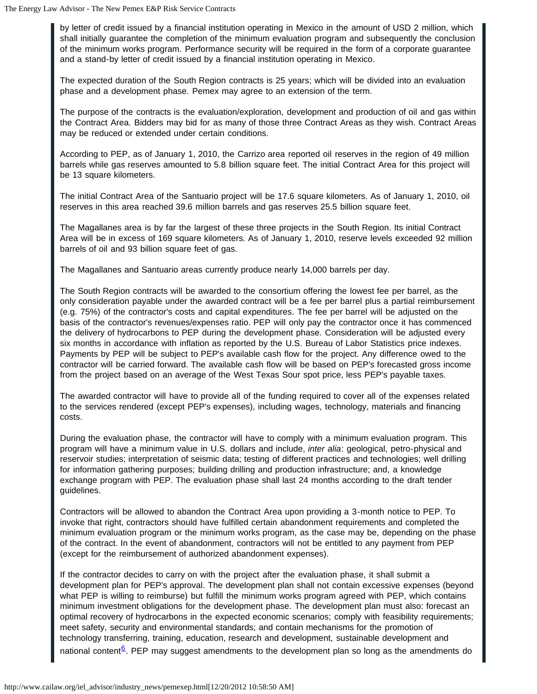by letter of credit issued by a financial institution operating in Mexico in the amount of USD 2 million, which shall initially guarantee the completion of the minimum evaluation program and subsequently the conclusion of the minimum works program. Performance security will be required in the form of a corporate guarantee and a stand-by letter of credit issued by a financial institution operating in Mexico.

The expected duration of the South Region contracts is 25 years; which will be divided into an evaluation phase and a development phase. Pemex may agree to an extension of the term.

The purpose of the contracts is the evaluation/exploration, development and production of oil and gas within the Contract Area. Bidders may bid for as many of those three Contract Areas as they wish. Contract Areas may be reduced or extended under certain conditions.

According to PEP, as of January 1, 2010, the Carrizo area reported oil reserves in the region of 49 million barrels while gas reserves amounted to 5.8 billion square feet. The initial Contract Area for this project will be 13 square kilometers.

The initial Contract Area of the Santuario project will be 17.6 square kilometers. As of January 1, 2010, oil reserves in this area reached 39.6 million barrels and gas reserves 25.5 billion square feet.

The Magallanes area is by far the largest of these three projects in the South Region. Its initial Contract Area will be in excess of 169 square kilometers. As of January 1, 2010, reserve levels exceeded 92 million barrels of oil and 93 billion square feet of gas.

The Magallanes and Santuario areas currently produce nearly 14,000 barrels per day.

The South Region contracts will be awarded to the consortium offering the lowest fee per barrel, as the only consideration payable under the awarded contract will be a fee per barrel plus a partial reimbursement (e.g. 75%) of the contractor's costs and capital expenditures. The fee per barrel will be adjusted on the basis of the contractor's revenues/expenses ratio. PEP will only pay the contractor once it has commenced the delivery of hydrocarbons to PEP during the development phase. Consideration will be adjusted every six months in accordance with inflation as reported by the U.S. Bureau of Labor Statistics price indexes. Payments by PEP will be subject to PEP's available cash flow for the project. Any difference owed to the contractor will be carried forward. The available cash flow will be based on PEP's forecasted gross income from the project based on an average of the West Texas Sour spot price, less PEP's payable taxes.

The awarded contractor will have to provide all of the funding required to cover all of the expenses related to the services rendered (except PEP's expenses), including wages, technology, materials and financing costs.

During the evaluation phase, the contractor will have to comply with a minimum evaluation program. This program will have a minimum value in U.S. dollars and include, *inter alia*: geological, petro-physical and reservoir studies; interpretation of seismic data; testing of different practices and technologies; well drilling for information gathering purposes; building drilling and production infrastructure; and, a knowledge exchange program with PEP. The evaluation phase shall last 24 months according to the draft tender guidelines.

Contractors will be allowed to abandon the Contract Area upon providing a 3-month notice to PEP. To invoke that right, contractors should have fulfilled certain abandonment requirements and completed the minimum evaluation program or the minimum works program, as the case may be, depending on the phase of the contract. In the event of abandonment, contractors will not be entitled to any payment from PEP (except for the reimbursement of authorized abandonment expenses).

If the contractor decides to carry on with the project after the evaluation phase, it shall submit a development plan for PEP's approval. The development plan shall not contain excessive expenses (beyond what PEP is willing to reimburse) but fulfill the minimum works program agreed with PEP, which contains minimum investment obligations for the development phase. The development plan must also: forecast an optimal recovery of hydrocarbons in the expected economic scenarios; comply with feasibility requirements; meet safety, security and environmental standards; and contain mechanisms for the promotion of technology transferring, training, education, research and development, sustainable development and national content<sup>6</sup>. PEP may suggest amendments to the development plan so long as the amendments do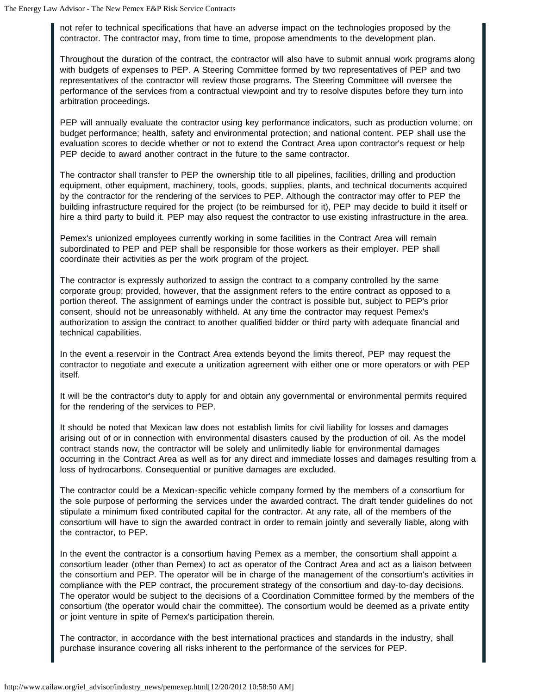not refer to technical specifications that have an adverse impact on the technologies proposed by the contractor. The contractor may, from time to time, propose amendments to the development plan.

Throughout the duration of the contract, the contractor will also have to submit annual work programs along with budgets of expenses to PEP. A Steering Committee formed by two representatives of PEP and two representatives of the contractor will review those programs. The Steering Committee will oversee the performance of the services from a contractual viewpoint and try to resolve disputes before they turn into arbitration proceedings.

PEP will annually evaluate the contractor using key performance indicators, such as production volume; on budget performance; health, safety and environmental protection; and national content. PEP shall use the evaluation scores to decide whether or not to extend the Contract Area upon contractor's request or help PEP decide to award another contract in the future to the same contractor.

The contractor shall transfer to PEP the ownership title to all pipelines, facilities, drilling and production equipment, other equipment, machinery, tools, goods, supplies, plants, and technical documents acquired by the contractor for the rendering of the services to PEP. Although the contractor may offer to PEP the building infrastructure required for the project (to be reimbursed for it), PEP may decide to build it itself or hire a third party to build it. PEP may also request the contractor to use existing infrastructure in the area.

Pemex's unionized employees currently working in some facilities in the Contract Area will remain subordinated to PEP and PEP shall be responsible for those workers as their employer. PEP shall coordinate their activities as per the work program of the project.

The contractor is expressly authorized to assign the contract to a company controlled by the same corporate group; provided, however, that the assignment refers to the entire contract as opposed to a portion thereof. The assignment of earnings under the contract is possible but, subject to PEP's prior consent, should not be unreasonably withheld. At any time the contractor may request Pemex's authorization to assign the contract to another qualified bidder or third party with adequate financial and technical capabilities.

In the event a reservoir in the Contract Area extends beyond the limits thereof, PEP may request the contractor to negotiate and execute a unitization agreement with either one or more operators or with PEP itself.

It will be the contractor's duty to apply for and obtain any governmental or environmental permits required for the rendering of the services to PEP.

It should be noted that Mexican law does not establish limits for civil liability for losses and damages arising out of or in connection with environmental disasters caused by the production of oil. As the model contract stands now, the contractor will be solely and unlimitedly liable for environmental damages occurring in the Contract Area as well as for any direct and immediate losses and damages resulting from a loss of hydrocarbons. Consequential or punitive damages are excluded.

The contractor could be a Mexican-specific vehicle company formed by the members of a consortium for the sole purpose of performing the services under the awarded contract. The draft tender guidelines do not stipulate a minimum fixed contributed capital for the contractor. At any rate, all of the members of the consortium will have to sign the awarded contract in order to remain jointly and severally liable, along with the contractor, to PEP.

In the event the contractor is a consortium having Pemex as a member, the consortium shall appoint a consortium leader (other than Pemex) to act as operator of the Contract Area and act as a liaison between the consortium and PEP. The operator will be in charge of the management of the consortium's activities in compliance with the PEP contract, the procurement strategy of the consortium and day-to-day decisions. The operator would be subject to the decisions of a Coordination Committee formed by the members of the consortium (the operator would chair the committee). The consortium would be deemed as a private entity or joint venture in spite of Pemex's participation therein.

The contractor, in accordance with the best international practices and standards in the industry, shall purchase insurance covering all risks inherent to the performance of the services for PEP.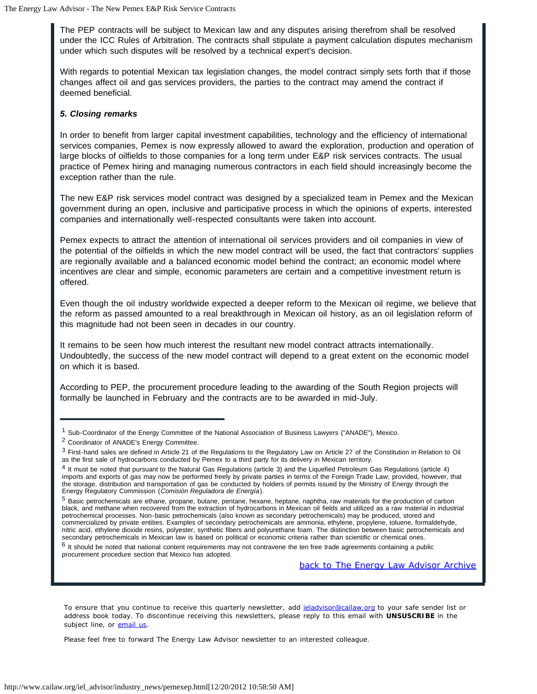The PEP contracts will be subject to Mexican law and any disputes arising therefrom shall be resolved under the ICC Rules of Arbitration. The contracts shall stipulate a payment calculation disputes mechanism under which such disputes will be resolved by a technical expert's decision.

With regards to potential Mexican tax legislation changes, the model contract simply sets forth that if those changes affect oil and gas services providers, the parties to the contract may amend the contract if deemed beneficial.

#### *5. Closing remarks*

In order to benefit from larger capital investment capabilities, technology and the efficiency of international services companies, Pemex is now expressly allowed to award the exploration, production and operation of large blocks of oilfields to those companies for a long term under E&P risk services contracts. The usual practice of Pemex hiring and managing numerous contractors in each field should increasingly become the exception rather than the rule.

The new E&P risk services model contract was designed by a specialized team in Pemex and the Mexican government during an open, inclusive and participative process in which the opinions of experts, interested companies and internationally well-respected consultants were taken into account.

Pemex expects to attract the attention of international oil services providers and oil companies in view of the potential of the oilfields in which the new model contract will be used, the fact that contractors' supplies are regionally available and a balanced economic model behind the contract; an economic model where incentives are clear and simple, economic parameters are certain and a competitive investment return is offered.

Even though the oil industry worldwide expected a deeper reform to the Mexican oil regime, we believe that the reform as passed amounted to a real breakthrough in Mexican oil history, as an oil legislation reform of this magnitude had not been seen in decades in our country.

It remains to be seen how much interest the resultant new model contract attracts internationally. Undoubtedly, the success of the new model contract will depend to a great extent on the economic model on which it is based.

According to PEP, the procurement procedure leading to the awarding of the South Region projects will formally be launched in February and the contracts are to be awarded in mid-July.

 $6$  It should be noted that national content requirements may not contravene the ten free trade agreements containing a public procurement procedure section that Mexico has adopted.

*back to The Energy Law Advisor Archive*

To ensure that you continue to receive this quarterly newsletter, add ieladvisor@cailaw.org to your safe sender list or address book today. To discontinue receiving this newsletters, please reply to this email with **UNSUSCRIBE** in the subject line, or email us.

Please feel free to forward The Energy Law Advisor newsletter to an interested colleague.

<sup>1</sup> Sub-Coordinator of the Energy Committee of the National Association of Business Lawyers ("ANADE"), Mexico.

<sup>2</sup> Coordinator of ANADE's Energy Committee.

<sup>&</sup>lt;sup>3</sup> First-hand sales are defined in Article 21 of the Regulations to the Regulatory Law on Article 27 of the Constitution in Relation to Oil as the first sale of hydrocarbons conducted by Pemex to a third party for its delivery in Mexican territory.

<sup>4</sup> It must be noted that pursuant to the Natural Gas Regulations (article 3) and the Liquefied Petroleum Gas Regulations (article 4) imports and exports of gas may now be performed freely by private parties in terms of the Foreign Trade Law; provided, however, that the storage, distribution and transportation of gas be conducted by holders of permits issued by the Ministry of Energy through the Energy Regulatory Commission (*Comisión Reguladora de Energía*).

<sup>5</sup> Basic petrochemicals are ethane, propane, butane, pentane, hexane, heptane, naphtha, raw materials for the production of carbon black, and methane when recovered from the extraction of hydrocarbons in Mexican oil fields and utilized as a raw material in industrial petrochemical processes. Non-basic petrochemicals (also known as secondary petrochemicals) may be produced, stored and commercialized by private entities. Examples of secondary petrochemicals are ammonia, ethylene, propylene, toluene, formaldehyde, nitric acid, ethylene dioxide resins, polyester, synthetic fibers and polyurethane foam. The distinction between basic petrochemicals and secondary petrochemicals in Mexican law is based on political or economic criteria rather than scientific or chemical ones.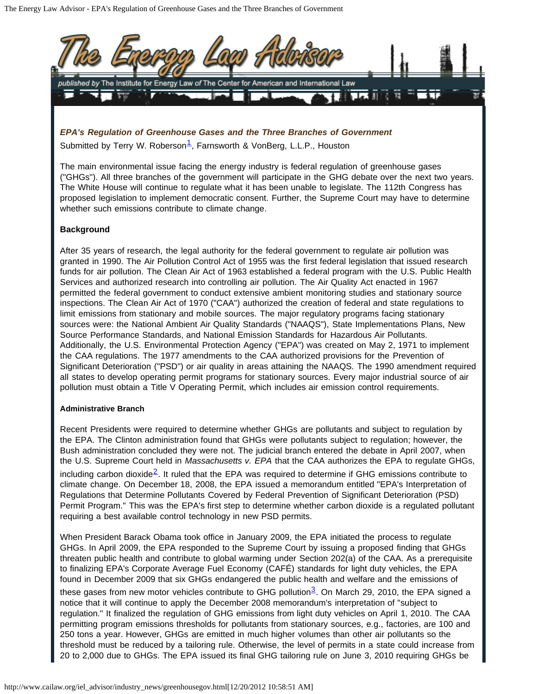

*EPA's Regulation of Greenhouse Gases and the Three Branches of Government* Submitted by Terry W. Roberson<sup>[1](#page-16-0)</sup>, Farnsworth & VonBerg, L.L.P., Houston

The main environmental issue facing the energy industry is federal regulation of greenhouse gases ("GHGs"). All three branches of the government will participate in the GHG debate over the next two years. The White House will continue to regulate what it has been unable to legislate. The 112th Congress has proposed legislation to implement democratic consent. Further, the Supreme Court may have to determine whether such emissions contribute to climate change.

### **Background**

After 35 years of research, the legal authority for the federal government to regulate air pollution was granted in 1990. The Air Pollution Control Act of 1955 was the first federal legislation that issued research funds for air pollution. The Clean Air Act of 1963 established a federal program with the U.S. Public Health Services and authorized research into controlling air pollution. The Air Quality Act enacted in 1967 permitted the federal government to conduct extensive ambient monitoring studies and stationary source inspections. The Clean Air Act of 1970 ("CAA") authorized the creation of federal and state regulations to limit emissions from stationary and mobile sources. The major regulatory programs facing stationary sources were: the National Ambient Air Quality Standards ("NAAQS"), State Implementations Plans, New Source Performance Standards, and National Emission Standards for Hazardous Air Pollutants. Additionally, the U.S. Environmental Protection Agency ("EPA") was created on May 2, 1971 to implement the CAA regulations. The 1977 amendments to the CAA authorized provisions for the Prevention of Significant Deterioration ("PSD") or air quality in areas attaining the NAAQS. The 1990 amendment required all states to develop operating permit programs for stationary sources. Every major industrial source of air pollution must obtain a Title V Operating Permit, which includes air emission control requirements.

#### **Administrative Branch**

Recent Presidents were required to determine whether GHGs are pollutants and subject to regulation by the EPA. The Clinton administration found that GHGs were pollutants subject to regulation; however, the Bush administration concluded they were not. The judicial branch entered the debate in April 2007, when the U.S. Supreme Court held in *Massachusetts v. EPA* that the CAA authorizes the EPA to regulate GHGs, including carbon dioxide<sup>[2](#page-17-0)</sup>. It ruled that the EPA was required to determine if GHG emissions contribute to climate change. On December 18, 2008, the EPA issued a memorandum entitled "EPA's Interpretation of Regulations that Determine Pollutants Covered by Federal Prevention of Significant Deterioration (PSD) Permit Program." This was the EPA's first step to determine whether carbon dioxide is a regulated pollutant requiring a best available control technology in new PSD permits.

When President Barack Obama took office in January 2009, the EPA initiated the process to regulate GHGs. In April 2009, the EPA responded to the Supreme Court by issuing a proposed finding that GHGs threaten public health and contribute to global warming under Section 202(a) of the CAA. As a prerequisite to finalizing EPA's Corporate Average Fuel Economy (CAFÉ) standards for light duty vehicles, the EPA found in December 2009 that six GHGs endangered the public health and welfare and the emissions of these gases from new motor vehicles contribute to GHG pollution<sup>[3](#page-17-1)</sup>. On March 29, 2010, the EPA signed a notice that it will continue to apply the December 2008 memorandum's interpretation of "subject to regulation." It finalized the regulation of GHG emissions from light duty vehicles on April 1, 2010. The CAA permitting program emissions thresholds for pollutants from stationary sources, e.g., factories, are 100 and 250 tons a year. However, GHGs are emitted in much higher volumes than other air pollutants so the threshold must be reduced by a tailoring rule. Otherwise, the level of permits in a state could increase from 20 to 2,000 due to GHGs. The EPA issued its final GHG tailoring rule on June 3, 2010 requiring GHGs be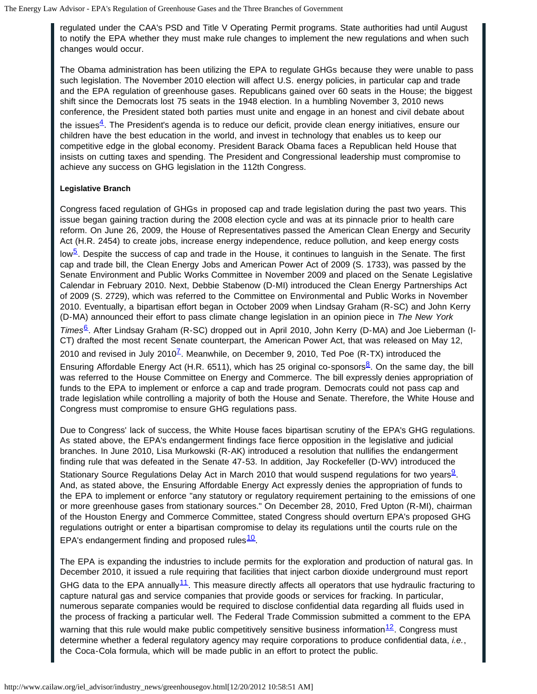regulated under the CAA's PSD and Title V Operating Permit programs. State authorities had until August to notify the EPA whether they must make rule changes to implement the new regulations and when such changes would occur.

The Obama administration has been utilizing the EPA to regulate GHGs because they were unable to pass such legislation. The November 2010 election will affect U.S. energy policies, in particular cap and trade and the EPA regulation of greenhouse gases. Republicans gained over 60 seats in the House; the biggest shift since the Democrats lost 75 seats in the 1948 election. In a humbling November 3, 2010 news conference, the President stated both parties must unite and engage in an honest and civil debate about

the issues<sup>4</sup>. The President's agenda is to reduce our deficit, provide clean energy initiatives, ensure our children have the best education in the world, and invest in technology that enables us to keep our competitive edge in the global economy. President Barack Obama faces a Republican held House that insists on cutting taxes and spending. The President and Congressional leadership must compromise to achieve any success on GHG legislation in the 112th Congress.

### **Legislative Branch**

Congress faced regulation of GHGs in proposed cap and trade legislation during the past two years. This issue began gaining traction during the 2008 election cycle and was at its pinnacle prior to health care reform. On June 26, 2009, the House of Representatives passed the American Clean Energy and Security Act (H.R. 2454) to create jobs, increase energy independence, reduce pollution, and keep energy costs

low<sup>5</sup>. Despite the success of cap and trade in the House, it continues to languish in the Senate. The first cap and trade bill, the Clean Energy Jobs and American Power Act of 2009 (S. 1733), was passed by the Senate Environment and Public Works Committee in November 2009 and placed on the Senate Legislative Calendar in February 2010. Next, Debbie Stabenow (D-MI) introduced the Clean Energy Partnerships Act of 2009 (S. 2729), which was referred to the Committee on Environmental and Public Works in November 2010. Eventually, a bipartisan effort began in October 2009 when Lindsay Graham (R-SC) and John Kerry (D-MA) announced their effort to pass climate change legislation in an opinion piece in *The New York*

*Times*<sup>b</sup>. After Lindsay Graham (R-SC) dropped out in April 2010, John Kerry (D-MA) and Joe Lieberman (I-CT) drafted the most recent Senate counterpart, the American Power Act, that was released on May 12,

2010 and revised in July 2010<sup> $\overline{L}$ </sup>. Meanwhile, on December 9, 2010, Ted Poe (R-TX) introduced the

Ensuring Affordable Energy Act (H.R. 6511), which has 25 original co-sponsors  $8^2$  $8^2$ . On the same day, the bill was referred to the House Committee on Energy and Commerce. The bill expressly denies appropriation of funds to the EPA to implement or enforce a cap and trade program. Democrats could not pass cap and trade legislation while controlling a majority of both the House and Senate. Therefore, the White House and Congress must compromise to ensure GHG regulations pass.

Due to Congress' lack of success, the White House faces bipartisan scrutiny of the EPA's GHG regulations. As stated above, the EPA's endangerment findings face fierce opposition in the legislative and judicial branches. In June 2010, Lisa Murkowski (R-AK) introduced a resolution that nullifies the endangerment finding rule that was defeated in the Senate 47-53. In addition, Jay Rockefeller (D-WV) introduced the

Stationary Source Regulations Delay Act in March 2010 that would suspend regulations for two years. And, as stated above, the Ensuring Affordable Energy Act expressly denies the appropriation of funds to the EPA to implement or enforce "any statutory or regulatory requirement pertaining to the emissions of one or more greenhouse gases from stationary sources." On December 28, 2010, Fred Upton (R-MI), chairman of the Houston Energy and Commerce Committee, stated Congress should overturn EPA's proposed GHG regulations outright or enter a bipartisan compromise to delay its regulations until the courts rule on the EPA's endangerment finding and proposed rules $\frac{10}{2}$ .

The EPA is expanding the industries to include permits for the exploration and production of natural gas. In December 2010, it issued a rule requiring that facilities that inject carbon dioxide underground must report GHG data to the EPA annually<sup>11</sup>. This measure directly affects all operators that use hydraulic fracturing to capture natural gas and service companies that provide goods or services for fracking. In particular, numerous separate companies would be required to disclose confidential data regarding all fluids used in the process of fracking a particular well. The Federal Trade Commission submitted a comment to the EPA warning that this rule would make public competitively sensitive business information $\frac{12}{2}$ . Congress must determine whether a federal regulatory agency may require corporations to produce confidential data, *i.e.*, the Coca-Cola formula, which will be made public in an effort to protect the public.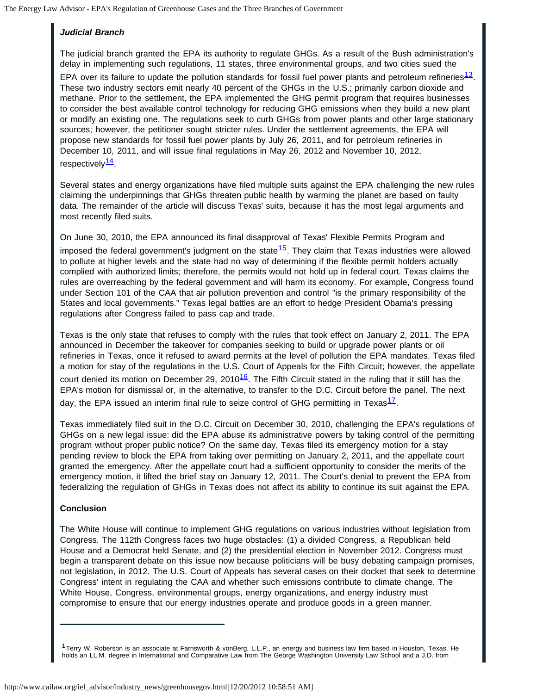# *Judicial Branch*

The judicial branch granted the EPA its authority to regulate GHGs. As a result of the Bush administration's delay in implementing such regulations, 11 states, three environmental groups, and two cities sued the

EPA over its failure to update the pollution standards for fossil fuel power plants and petroleum refineries $13$ . These two industry sectors emit nearly 40 percent of the GHGs in the U.S.; primarily carbon dioxide and methane. Prior to the settlement, the EPA implemented the GHG permit program that requires businesses to consider the best available control technology for reducing GHG emissions when they build a new plant or modify an existing one. The regulations seek to curb GHGs from power plants and other large stationary sources; however, the petitioner sought stricter rules. Under the settlement agreements, the EPA will propose new standards for fossil fuel power plants by July 26, 2011, and for petroleum refineries in December 10, 2011, and will issue final regulations in May 26, 2012 and November 10, 2012, respectively<sup>[14](#page-17-12)</sup>.

Several states and energy organizations have filed multiple suits against the EPA challenging the new rules claiming the underpinnings that GHGs threaten public health by warming the planet are based on faulty data. The remainder of the article will discuss Texas' suits, because it has the most legal arguments and most recently filed suits.

On June 30, 2010, the EPA announced its final disapproval of Texas' Flexible Permits Program and imposed the federal government's judgment on the state $\frac{15}{15}$ . They claim that Texas industries were allowed to pollute at higher levels and the state had no way of determining if the flexible permit holders actually complied with authorized limits; therefore, the permits would not hold up in federal court. Texas claims the rules are overreaching by the federal government and will harm its economy. For example, Congress found under Section 101 of the CAA that air pollution prevention and control "is the primary responsibility of the States and local governments." Texas legal battles are an effort to hedge President Obama's pressing regulations after Congress failed to pass cap and trade.

Texas is the only state that refuses to comply with the rules that took effect on January 2, 2011. The EPA announced in December the takeover for companies seeking to build or upgrade power plants or oil refineries in Texas, once it refused to award permits at the level of pollution the EPA mandates. Texas filed a motion for stay of the regulations in the U.S. Court of Appeals for the Fifth Circuit; however, the appellate court denied its motion on December 29, 2010 $16$ . The Fifth Circuit stated in the ruling that it still has the EPA's motion for dismissal or, in the alternative, to transfer to the D.C. Circuit before the panel. The next day, the EPA issued an interim final rule to seize control of GHG permitting in Texas $^{17}$ .

Texas immediately filed suit in the D.C. Circuit on December 30, 2010, challenging the EPA's regulations of GHGs on a new legal issue: did the EPA abuse its administrative powers by taking control of the permitting program without proper public notice? On the same day, Texas filed its emergency motion for a stay pending review to block the EPA from taking over permitting on January 2, 2011, and the appellate court granted the emergency. After the appellate court had a sufficient opportunity to consider the merits of the emergency motion, it lifted the brief stay on January 12, 2011. The Court's denial to prevent the EPA from federalizing the regulation of GHGs in Texas does not affect its ability to continue its suit against the EPA.

### **Conclusion**

The White House will continue to implement GHG regulations on various industries without legislation from Congress. The 112th Congress faces two huge obstacles: (1) a divided Congress, a Republican held House and a Democrat held Senate, and (2) the presidential election in November 2012. Congress must begin a transparent debate on this issue now because politicians will be busy debating campaign promises, not legislation, in 2012. The U.S. Court of Appeals has several cases on their docket that seek to determine Congress' intent in regulating the CAA and whether such emissions contribute to climate change. The White House, Congress, environmental groups, energy organizations, and energy industry must compromise to ensure that our energy industries operate and produce goods in a green manner.

<span id="page-16-0"></span> $1$ Terry W. Roberson is an associate at Farnsworth & vonBerg, L.L.P., an energy and business law firm based in Houston, Texas. He holds an LL.M. degree in International and Comparative Law from The George Washington University Law School and a J.D. from